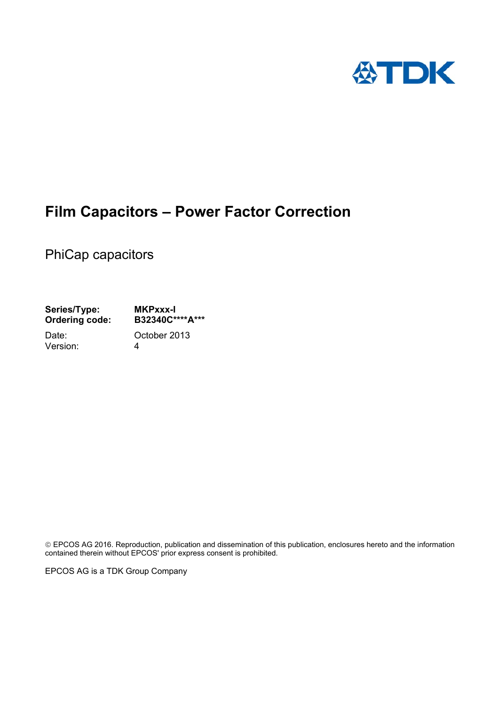

# **Film Capacitors – Power Factor Correction**

PhiCap capacitors

| Series/Type:<br><b>Ordering code:</b> | <b>MKPxxx-I</b><br>B32340C****A*** |
|---------------------------------------|------------------------------------|
| Date:                                 | October 2013                       |
| Version:                              | 4                                  |

 EPCOS AG 2016. Reproduction, publication and dissemination of this publication, enclosures hereto and the information contained therein without EPCOS' prior express consent is prohibited.

EPCOS AG is a TDK Group Company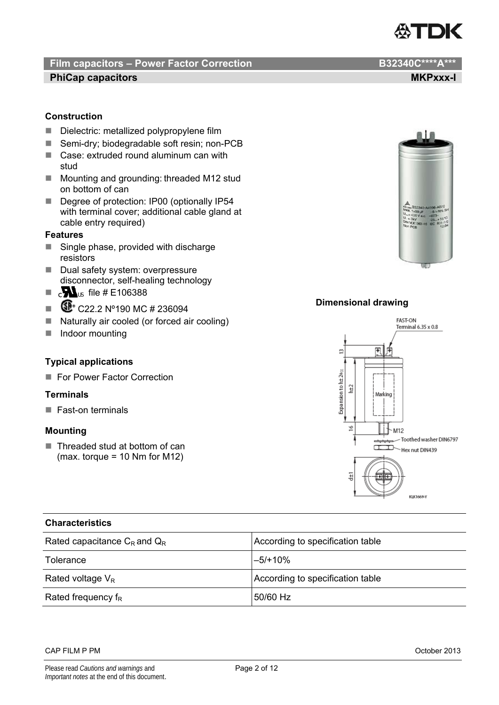# 怂TDK

### Film capacitors – Power Factor Correction **B32340C\*\*\*\*A\*\*\***

### **PhiCap capacitors MKPxxx-I MKPxxx-I**

### **Construction**

- Dielectric: metallized polypropylene film
- Semi-dry; biodegradable soft resin; non-PCB
- Case: extruded round aluminum can with stud
- Mounting and grounding: threaded M12 stud on bottom of can
- Degree of protection: IP00 (optionally IP54 with terminal cover; additional cable gland at cable entry required)

### **Features**

- Single phase, provided with discharge resistors
- Dual safety system: overpressure disconnector, self-healing technology
- $\bullet$  constants file # E106388
- $\bullet$  C22.2 N°190 MC # 236094
- Naturally air cooled (or forced air cooling)
- **Indoor mounting**

### **Typical applications**

For Power Factor Correction

### **Terminals**

 $\blacksquare$  Fast-on terminals

### **Mounting**

■ Threaded stud at bottom of can (max. torque = 10 Nm for M12)



### **Dimensional drawing**



### **Characteristics**

| Rated capacitance $C_R$ and $Q_R$ | According to specification table |
|-----------------------------------|----------------------------------|
| Tolerance                         | $-5/10%$                         |
| Rated voltage $V_R$               | According to specification table |
| Rated frequency $f_R$             | 50/60 Hz                         |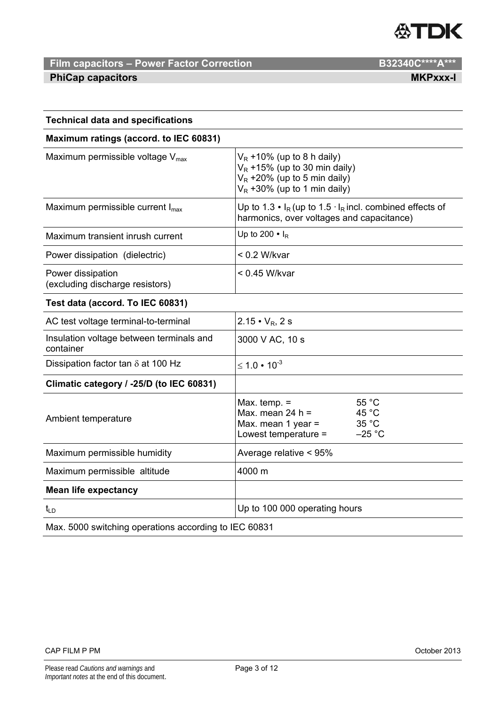

**PhiCap capacitors MKPxxx-I MKPxxx-I** 

| <b>Technical data and specifications</b>              |                                                                                                                                           |  |  |  |  |
|-------------------------------------------------------|-------------------------------------------------------------------------------------------------------------------------------------------|--|--|--|--|
| Maximum ratings (accord. to IEC 60831)                |                                                                                                                                           |  |  |  |  |
| Maximum permissible voltage $V_{\text{max}}$          | $V_R$ +10% (up to 8 h daily)<br>$V_R$ +15% (up to 30 min daily)<br>$V_R$ +20% (up to 5 min daily)<br>$V_R$ +30% (up to 1 min daily)       |  |  |  |  |
| Maximum permissible current $I_{max}$                 | Up to 1.3 $\cdot$ I <sub>R</sub> (up to 1.5 $\cdot$ I <sub>R</sub> incl. combined effects of<br>harmonics, over voltages and capacitance) |  |  |  |  |
| Maximum transient inrush current                      | Up to 200 $\cdot$ I <sub>R</sub>                                                                                                          |  |  |  |  |
| Power dissipation (dielectric)                        | < 0.2 W/kvar                                                                                                                              |  |  |  |  |
| Power dissipation<br>(excluding discharge resistors)  | < 0.45 W/kvar                                                                                                                             |  |  |  |  |
| Test data (accord. To IEC 60831)                      |                                                                                                                                           |  |  |  |  |
| AC test voltage terminal-to-terminal                  | $2.15 \cdot V_R$ , 2 s                                                                                                                    |  |  |  |  |
| Insulation voltage between terminals and<br>container | 3000 V AC, 10 s                                                                                                                           |  |  |  |  |
| Dissipation factor tan $\delta$ at 100 Hz             | $\leq 1.0 \cdot 10^{-3}$                                                                                                                  |  |  |  |  |
| Climatic category / -25/D (to IEC 60831)              |                                                                                                                                           |  |  |  |  |
| Ambient temperature                                   | 55 °C<br>Max. temp. $=$<br>Max. mean $24 h =$<br>45 °C<br>35 °C<br>Max. mean 1 year =<br>Lowest temperature =<br>$-25$ °C                 |  |  |  |  |
| Maximum permissible humidity                          | Average relative < 95%                                                                                                                    |  |  |  |  |
| Maximum permissible altitude                          | 4000 m                                                                                                                                    |  |  |  |  |
| <b>Mean life expectancy</b>                           |                                                                                                                                           |  |  |  |  |
| $t_{LD}$                                              | Up to 100 000 operating hours                                                                                                             |  |  |  |  |
| Max. 5000 switching operations according to IEC 60831 |                                                                                                                                           |  |  |  |  |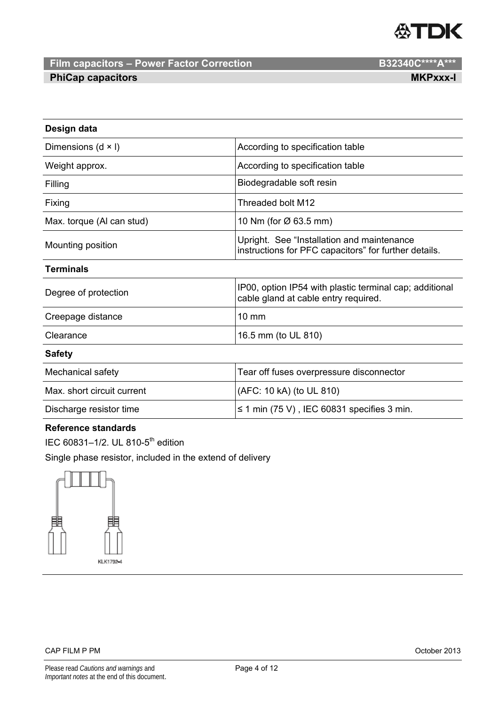# **ATDK**

**Film capacitors – Power Factor Correction B32340C\*\*\*\*A\*\*\* PhiCap capacitors MKPxxx-I MKPxxx-I** 

| Design data               |                                                                                                      |
|---------------------------|------------------------------------------------------------------------------------------------------|
| Dimensions $(d \times l)$ | According to specification table                                                                     |
| Weight approx.            | According to specification table                                                                     |
| Filling                   | Biodegradable soft resin                                                                             |
| Fixing                    | Threaded bolt M12                                                                                    |
| Max. torque (Al can stud) | 10 Nm (for Ø 63.5 mm)                                                                                |
| Mounting position         | Upright. See "Installation and maintenance"<br>instructions for PFC capacitors" for further details. |
| <b>Terminals</b>          |                                                                                                      |
| Degree of protection      | IP00, option IP54 with plastic terminal cap; additional<br>cable gland at cable entry required.      |
| Creepage distance         | 10 mm                                                                                                |
| Clearance                 | 16.5 mm (to UL 810)                                                                                  |
| <b>Safety</b>             |                                                                                                      |

| Mechanical safety          | Tear off fuses overpressure disconnector        |
|----------------------------|-------------------------------------------------|
| Max. short circuit current | (AFC: 10 kA) (to UL 810)                        |
| Discharge resistor time    | $\leq 1$ min (75 V), IEC 60831 specifies 3 min. |

### **Reference standards**

IEC 60831-1/2. UL 810-5<sup>th</sup> edition

Single phase resistor, included in the extend of delivery



CAP FILM P PM October 2013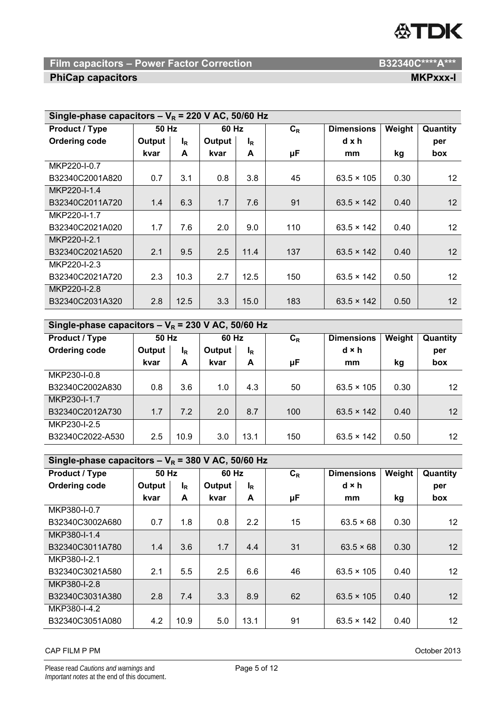# **Film capacitors – Power Factor Correction B32340C\*\*\*\*A\*\*\***

## **PhiCap capacitors MKPxxx-I MKPxxx-I**

| Single-phase capacitors $-V_R$ = 220 V AC, 50/60 Hz |        |                |        |                |       |                   |        |                 |  |  |  |  |
|-----------------------------------------------------|--------|----------------|--------|----------------|-------|-------------------|--------|-----------------|--|--|--|--|
| Product / Type                                      | 50 Hz  |                | 60 Hz  |                | $C_R$ | <b>Dimensions</b> | Weight | Quantity        |  |  |  |  |
| <b>Ordering code</b>                                | Output | l <sub>R</sub> | Output | l <sub>R</sub> |       | d x h             |        | per             |  |  |  |  |
|                                                     | kvar   | A              | kvar   | A              | μF    | mm                | kg     | box             |  |  |  |  |
| MKP220-I-0.7                                        |        |                |        |                |       |                   |        |                 |  |  |  |  |
| B32340C2001A820                                     | 0.7    | 3.1            | 0.8    | 3.8            | 45    | $63.5 \times 105$ | 0.30   | 12 <sup>2</sup> |  |  |  |  |
| MKP220-I-1.4                                        |        |                |        |                |       |                   |        |                 |  |  |  |  |
| B32340C2011A720                                     | 1.4    | 6.3            | 1.7    | 7.6            | 91    | $63.5 \times 142$ | 0.40   | 12 <sup>2</sup> |  |  |  |  |
| MKP220-I-1.7                                        |        |                |        |                |       |                   |        |                 |  |  |  |  |
| B32340C2021A020                                     | 1.7    | 7.6            | 2.0    | 9.0            | 110   | $63.5 \times 142$ | 0.40   | 12 <sup>2</sup> |  |  |  |  |
| MKP220-I-2.1                                        |        |                |        |                |       |                   |        |                 |  |  |  |  |
| B32340C2021A520                                     | 2.1    | 9.5            | 2.5    | 11.4           | 137   | $63.5 \times 142$ | 0.40   | 12              |  |  |  |  |
| MKP220-I-2.3                                        |        |                |        |                |       |                   |        |                 |  |  |  |  |
| B32340C2021A720                                     | 2.3    | 10.3           | 2.7    | 12.5           | 150   | $63.5 \times 142$ | 0.50   | 12 <sup>°</sup> |  |  |  |  |
| MKP220-I-2.8                                        |        |                |        |                |       |                   |        |                 |  |  |  |  |
| B32340C2031A320                                     | 2.8    | 12.5           | 3.3    | 15.0           | 183   | $63.5 \times 142$ | 0.50   | 12 <sup>2</sup> |  |  |  |  |

### Single-phase capacitors  $-V_R = 230$  V AC, 50/60 Hz

| Product / Type       | 50 Hz  |      | 60 Hz  |       | $C_R$ | <b>Dimensions</b> | Weight | Quantity        |
|----------------------|--------|------|--------|-------|-------|-------------------|--------|-----------------|
| <b>Ordering code</b> | Output | ΙŖ   | Output | $I_R$ |       | $d \times h$      |        | per             |
|                      | kvar   | A    | kvar   | A     | μF    | mm                | kg     | box             |
| MKP230-I-0.8         |        |      |        |       |       |                   |        |                 |
| B32340C2002A830      | 0.8    | 3.6  | 1.0    | 4.3   | 50    | $63.5 \times 105$ | 0.30   | 12              |
| MKP230-I-1.7         |        |      |        |       |       |                   |        |                 |
| B32340C2012A730      | 1.7    | 7.2  | 2.0    | 8.7   | 100   | $63.5 \times 142$ | 0.40   | 12 <sup>°</sup> |
| MKP230-I-2.5         |        |      |        |       |       |                   |        |                 |
| B32340C2022-A530     | 2.5    | 10.9 | 3.0    | 13.1  | 150   | $63.5 \times 142$ | 0.50   | 12              |

### Single-phase capacitors  $-V_R = 380$  V AC, 50/60 Hz

| Product / Type       | 50 Hz  |                | 60 Hz  |       | $C_R$ | <b>Dimensions</b> | Weight | Quantity        |
|----------------------|--------|----------------|--------|-------|-------|-------------------|--------|-----------------|
| <b>Ordering code</b> | Output | l <sub>R</sub> | Output | $I_R$ |       | $d \times h$      |        | per             |
|                      | kvar   | A              | kvar   | A     | μF    | mm                | kg     | box             |
| MKP380-I-0.7         |        |                |        |       |       |                   |        |                 |
| B32340C3002A680      | 0.7    | 1.8            | 0.8    | 2.2   | 15    | $63.5 \times 68$  | 0.30   | 12 <sup>2</sup> |
| MKP380-I-1.4         |        |                |        |       |       |                   |        |                 |
| B32340C3011A780      | 1.4    | 3.6            | 1.7    | 4.4   | 31    | $63.5 \times 68$  | 0.30   | 12 <sup>2</sup> |
| MKP380-I-2.1         |        |                |        |       |       |                   |        |                 |
| B32340C3021A580      | 2.1    | 5.5            | 2.5    | 6.6   | 46    | $63.5 \times 105$ | 0.40   | 12 <sup>°</sup> |
| MKP380-I-2.8         |        |                |        |       |       |                   |        |                 |
| B32340C3031A380      | 2.8    | 7.4            | 3.3    | 8.9   | 62    | $63.5 \times 105$ | 0.40   | 12 <sup>2</sup> |
| MKP380-I-4.2         |        |                |        |       |       |                   |        |                 |
| B32340C3051A080      | 4.2    | 10.9           | 5.0    | 13.1  | 91    | $63.5 \times 142$ | 0.40   | 12 <sup>2</sup> |

#### CAP FILM P PM October 2013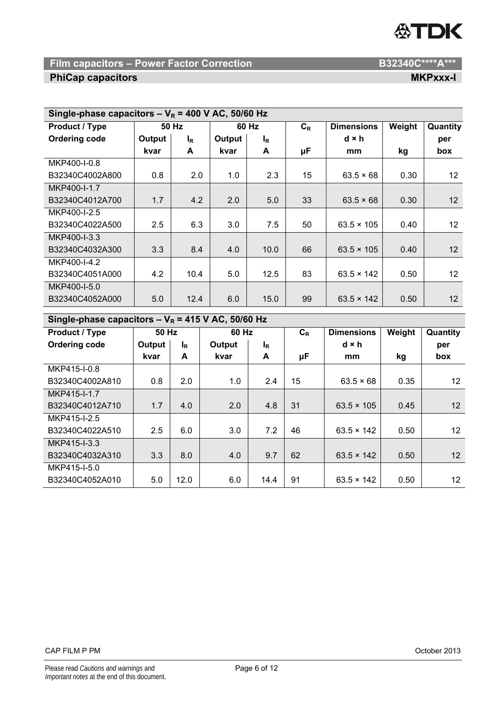# **Film capacitors – Power Factor Correction B32340C\*\*\*\*A\*\*\***

## **PhiCap capacitors MKPxxx-I MKPxxx-I**

| Single-phase capacitors $-V_R$ = 400 V AC, 50/60 Hz |        |       |        |       |       |                   |        |                   |  |  |  |  |  |  |
|-----------------------------------------------------|--------|-------|--------|-------|-------|-------------------|--------|-------------------|--|--|--|--|--|--|
| Product / Type                                      |        | 50 Hz |        | 60 Hz | $C_R$ | <b>Dimensions</b> | Weight | Quantity          |  |  |  |  |  |  |
| <b>Ordering code</b>                                | Output | $I_R$ | Output | $I_R$ |       | $d \times h$      |        | per               |  |  |  |  |  |  |
|                                                     | kvar   | A     | kvar   | A     | μF    | mm                | kg     | box               |  |  |  |  |  |  |
| MKP400-I-0.8                                        |        |       |        |       |       |                   |        |                   |  |  |  |  |  |  |
| B32340C4002A800                                     | 0.8    | 2.0   | 1.0    | 2.3   | 15    | $63.5 \times 68$  | 0.30   | 12 <sup>°</sup>   |  |  |  |  |  |  |
| MKP400-I-1.7                                        |        |       |        |       |       |                   |        |                   |  |  |  |  |  |  |
| B32340C4012A700                                     | 1.7    | 4.2   | 2.0    | 5.0   | 33    | $63.5 \times 68$  | 0.30   | 12 <sup>2</sup>   |  |  |  |  |  |  |
| MKP400-I-2.5                                        |        |       |        |       |       |                   |        |                   |  |  |  |  |  |  |
| B32340C4022A500                                     | 2.5    | 6.3   | 3.0    | 7.5   | 50    | $63.5 \times 105$ | 0.40   | 12 <sup>°</sup>   |  |  |  |  |  |  |
| MKP400-1-3.3                                        |        |       |        |       |       |                   |        |                   |  |  |  |  |  |  |
| B32340C4032A300                                     | 3.3    | 8.4   | 4.0    | 10.0  | 66    | $63.5 \times 105$ | 0.40   | 12 <sup>2</sup>   |  |  |  |  |  |  |
| MKP400-I-4.2                                        |        |       |        |       |       |                   |        |                   |  |  |  |  |  |  |
| B32340C4051A000                                     | 4.2    | 10.4  | 5.0    | 12.5  | 83    | $63.5 \times 142$ | 0.50   | 12 <sup>°</sup>   |  |  |  |  |  |  |
| MKP400-I-5.0                                        |        |       |        |       |       |                   |        |                   |  |  |  |  |  |  |
| B32340C4052A000                                     | 5.0    | 12.4  | 6.0    | 15.0  | 99    | $63.5 \times 142$ | 0.50   | $12 \overline{ }$ |  |  |  |  |  |  |

### Single-phase capacitors  $-V<sub>P</sub>$  = 415 V AC, 50/60 Hz

| Product / Type       | 50 Hz  |       | 60 Hz  |       | $C_R$ | <b>Dimensions</b> | Weight | Quantity        |
|----------------------|--------|-------|--------|-------|-------|-------------------|--------|-----------------|
| <b>Ordering code</b> | Output | $I_R$ | Output | $I_R$ |       | $d \times h$      |        | per             |
|                      | kvar   | A     | kvar   | A     | μF    | mm                | kg     | box             |
| MKP415-I-0.8         |        |       |        |       |       |                   |        |                 |
| B32340C4002A810      | 0.8    | 2.0   | 1.0    | 2.4   | 15    | $63.5 \times 68$  | 0.35   | 12 <sup>2</sup> |
| MKP415-I-1.7         |        |       |        |       |       |                   |        |                 |
| B32340C4012A710      | 1.7    | 4.0   | 2.0    | 4.8   | 31    | $63.5 \times 105$ | 0.45   | 12 <sup>2</sup> |
| MKP415-I-2.5         |        |       |        |       |       |                   |        |                 |
| B32340C4022A510      | 2.5    | 6.0   | 3.0    | 7.2   | 46    | $63.5 \times 142$ | 0.50   | 12 <sup>°</sup> |
| MKP415-I-3.3         |        |       |        |       |       |                   |        |                 |
| B32340C4032A310      | 3.3    | 8.0   | 4.0    | 9.7   | 62    | $63.5 \times 142$ | 0.50   | 12 <sup>2</sup> |
| MKP415-I-5.0         |        |       |        |       |       |                   |        |                 |
| B32340C4052A010      | 5.0    | 12.0  | 6.0    | 14.4  | 91    | $63.5 \times 142$ | 0.50   | 12 <sup>2</sup> |

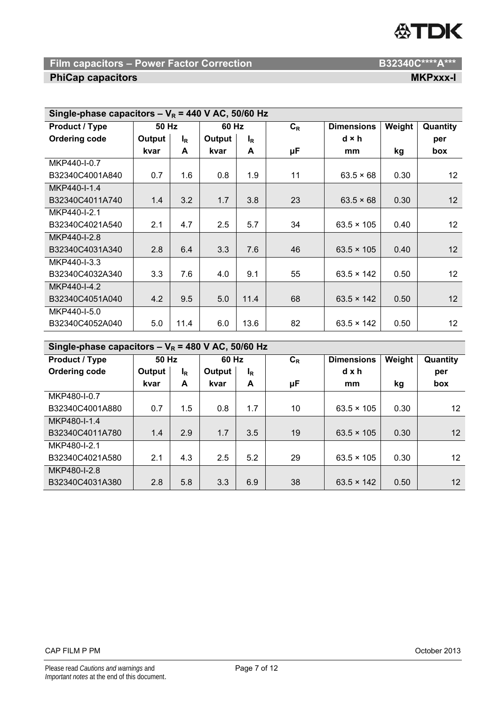# **Film capacitors – Power Factor Correction B32340C\*\*\*\*A\*\*\***

### **PhiCap capacitors MKPxxx-I MKPxxx-I**

| Single-phase capacitors $-V_R$ = 440 V AC, 50/60 Hz |        |                |        |                |       |                   |        |                 |  |  |  |  |
|-----------------------------------------------------|--------|----------------|--------|----------------|-------|-------------------|--------|-----------------|--|--|--|--|
| Product / Type                                      | 50 Hz  |                | 60 Hz  |                | $C_R$ | <b>Dimensions</b> | Weight | Quantity        |  |  |  |  |
| <b>Ordering code</b>                                | Output | l <sub>R</sub> | Output | l <sub>R</sub> |       | $d \times h$      |        | per             |  |  |  |  |
|                                                     | kvar   | A              | kvar   | A              | μF    | mm                | kg     | box             |  |  |  |  |
| MKP440-I-0.7                                        |        |                |        |                |       |                   |        |                 |  |  |  |  |
| B32340C4001A840                                     | 0.7    | 1.6            | 0.8    | 1.9            | 11    | $63.5 \times 68$  | 0.30   | 12              |  |  |  |  |
| MKP440-I-1.4                                        |        |                |        |                |       |                   |        |                 |  |  |  |  |
| B32340C4011A740                                     | 1.4    | 3.2            | 1.7    | 3.8            | 23    | $63.5 \times 68$  | 0.30   | 12 <sup>2</sup> |  |  |  |  |
| MKP440-I-2.1                                        |        |                |        |                |       |                   |        |                 |  |  |  |  |
| B32340C4021A540                                     | 2.1    | 4.7            | 2.5    | 5.7            | 34    | $63.5 \times 105$ | 0.40   | 12              |  |  |  |  |
| MKP440-I-2.8                                        |        |                |        |                |       |                   |        |                 |  |  |  |  |
| B32340C4031A340                                     | 2.8    | 6.4            | 3.3    | 7.6            | 46    | $63.5 \times 105$ | 0.40   | 12              |  |  |  |  |
| MKP440-I-3.3                                        |        |                |        |                |       |                   |        |                 |  |  |  |  |
| B32340C4032A340                                     | 3.3    | 7.6            | 4.0    | 9.1            | 55    | $63.5 \times 142$ | 0.50   | 12              |  |  |  |  |
| MKP440-I-4.2                                        |        |                |        |                |       |                   |        |                 |  |  |  |  |
| B32340C4051A040                                     | 4.2    | 9.5            | 5.0    | 11.4           | 68    | $63.5 \times 142$ | 0.50   | 12              |  |  |  |  |
| MKP440-I-5.0                                        |        |                |        |                |       |                   |        |                 |  |  |  |  |
| B32340C4052A040                                     | 5.0    | 11.4           | 6.0    | 13.6           | 82    | $63.5 \times 142$ | 0.50   | 12              |  |  |  |  |

### Single-phase capacitors  $-V_R = 480$  V AC, 50/60 Hz

| <b>Product / Type</b> | 50 Hz  |                | 60 Hz  |                       | $C_R$ | <b>Dimensions</b> | Weight | Quantity          |
|-----------------------|--------|----------------|--------|-----------------------|-------|-------------------|--------|-------------------|
| Ordering code         | Output | I <sub>R</sub> | Output | <b>I</b> <sub>R</sub> |       | dxh               |        | per               |
|                       | kvar   | A              | kvar   | A                     | μF    | mm                | kg     | box               |
| MKP480-I-0.7          |        |                |        |                       |       |                   |        |                   |
| B32340C4001A880       | 0.7    | 1.5            | 0.8    | 1.7                   | 10    | $63.5 \times 105$ | 0.30   | 12                |
| MKP480-I-1.4          |        |                |        |                       |       |                   |        |                   |
| B32340C4011A780       | 1.4    | 2.9            | 1.7    | 3.5                   | 19    | $63.5 \times 105$ | 0.30   | $12 \overline{ }$ |
| MKP480-I-2.1          |        |                |        |                       |       |                   |        |                   |
| B32340C4021A580       | 2.1    | 4.3            | 2.5    | 5.2                   | 29    | $63.5 \times 105$ | 0.30   | 12 <sup>2</sup>   |
| MKP480-I-2.8          |        |                |        |                       |       |                   |        |                   |
| B32340C4031A380       | 2.8    | 5.8            | 3.3    | 6.9                   | 38    | $63.5 \times 142$ | 0.50   | $12 \overline{ }$ |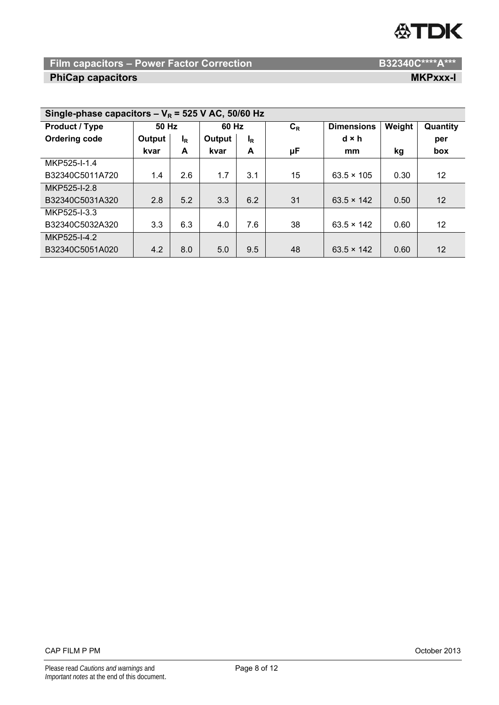# **Film capacitors – Power Factor Correction B32340C\*\*\*\*A\*\*\***

# **PhiCap capacitors MKPxxx-I MKPxxx-I**

| Single-phase capacitors $-V_R$ = 525 V AC, 50/60 Hz |        |                |        |                |       |                   |        |          |  |
|-----------------------------------------------------|--------|----------------|--------|----------------|-------|-------------------|--------|----------|--|
| Product / Type                                      | 50 Hz  |                | 60 Hz  |                | $C_R$ | <b>Dimensions</b> | Weight | Quantity |  |
| Ordering code                                       | Output | l <sub>R</sub> | Output | l <sub>R</sub> |       | $d \times h$      |        | per      |  |
|                                                     | kvar   | A              | kvar   | A              | μF    | mm                | kg     | box      |  |
| MKP525-I-1.4                                        |        |                |        |                |       |                   |        |          |  |
| B32340C5011A720                                     | 1.4    | 2.6            | 1.7    | 3.1            | 15    | $63.5 \times 105$ | 0.30   | 12       |  |
| MKP525-I-2.8                                        |        |                |        |                |       |                   |        |          |  |
| B32340C5031A320                                     | 2.8    | 5.2            | 3.3    | 6.2            | 31    | $63.5 \times 142$ | 0.50   | 12       |  |
| MKP525-I-3.3                                        |        |                |        |                |       |                   |        |          |  |
| B32340C5032A320                                     | 3.3    | 6.3            | 4.0    | 7.6            | 38    | $63.5 \times 142$ | 0.60   | 12       |  |
| MKP525-I-4.2                                        |        |                |        |                |       |                   |        |          |  |
| B32340C5051A020                                     | 4.2    | 8.0            | 5.0    | 9.5            | 48    | $63.5 \times 142$ | 0.60   | 12       |  |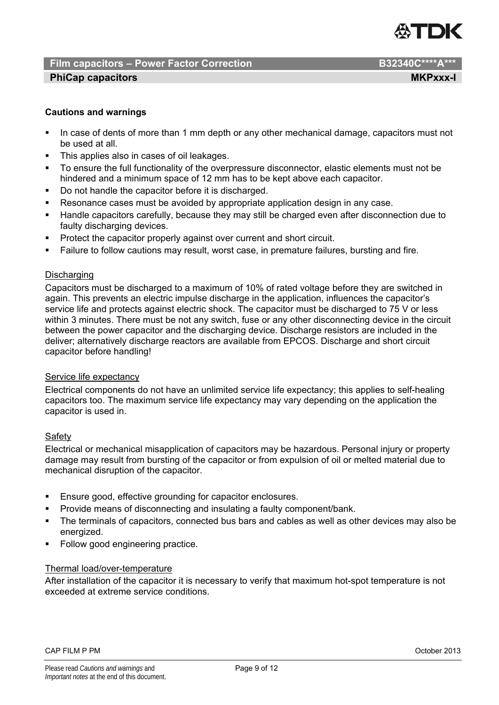

**PhiCap capacitors MKPxxx-I MKPxxx-I** 

### **Cautions and warnings**

- In case of dents of more than 1 mm depth or any other mechanical damage, capacitors must not be used at all.
- This applies also in cases of oil leakages.
- To ensure the full functionality of the overpressure disconnector, elastic elements must not be hindered and a minimum space of 12 mm has to be kept above each capacitor.
- Do not handle the capacitor before it is discharged.
- Resonance cases must be avoided by appropriate application design in any case.
- Handle capacitors carefully, because they may still be charged even after disconnection due to faulty discharging devices.
- Protect the capacitor properly against over current and short circuit.
- Failure to follow cautions may result, worst case, in premature failures, bursting and fire.

### Discharging

Capacitors must be discharged to a maximum of 10% of rated voltage before they are switched in again. This prevents an electric impulse discharge in the application, influences the capacitor's service life and protects against electric shock. The capacitor must be discharged to 75 V or less within 3 minutes. There must be not any switch, fuse or any other disconnecting device in the circuit between the power capacitor and the discharging device. Discharge resistors are included in the deliver; alternatively discharge reactors are available from EPCOS. Discharge and short circuit capacitor before handling!

### Service life expectancy

Electrical components do not have an unlimited service life expectancy; this applies to self-healing capacitors too. The maximum service life expectancy may vary depending on the application the capacitor is used in.

### **Safety**

Electrical or mechanical misapplication of capacitors may be hazardous. Personal injury or property damage may result from bursting of the capacitor or from expulsion of oil or melted material due to mechanical disruption of the capacitor.

- Ensure good, effective grounding for capacitor enclosures.
- Provide means of disconnecting and insulating a faulty component/bank.
- The terminals of capacitors, connected bus bars and cables as well as other devices may also be energized.
- Follow good engineering practice.

### Thermal load/over-temperature

After installation of the capacitor it is necessary to verify that maximum hot-spot temperature is not exceeded at extreme service conditions.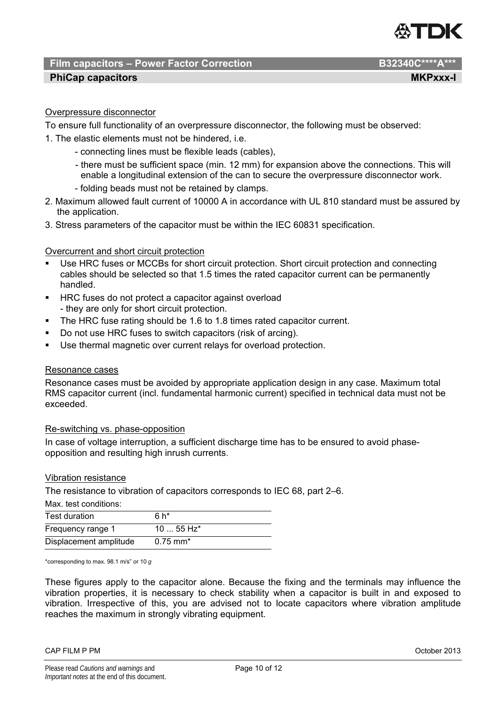

### **PhiCap capacitors MKPxxx-I MKPxxx-I**

### Overpressure disconnector

To ensure full functionality of an overpressure disconnector, the following must be observed:

- 1. The elastic elements must not be hindered, i.e.
	- connecting lines must be flexible leads (cables),
	- there must be sufficient space (min. 12 mm) for expansion above the connections. This will enable a longitudinal extension of the can to secure the overpressure disconnector work.
	- folding beads must not be retained by clamps.
- 2. Maximum allowed fault current of 10000 A in accordance with UL 810 standard must be assured by the application.
- 3. Stress parameters of the capacitor must be within the IEC 60831 specification.

### Overcurrent and short circuit protection

- Use HRC fuses or MCCBs for short circuit protection. Short circuit protection and connecting cables should be selected so that 1.5 times the rated capacitor current can be permanently handled.
- HRC fuses do not protect a capacitor against overload - they are only for short circuit protection.
- The HRC fuse rating should be 1.6 to 1.8 times rated capacitor current.
- Do not use HRC fuses to switch capacitors (risk of arcing).
- Use thermal magnetic over current relays for overload protection.

### Resonance cases

Resonance cases must be avoided by appropriate application design in any case. Maximum total RMS capacitor current (incl. fundamental harmonic current) specified in technical data must not be exceeded.

### Re-switching vs. phase-opposition

In case of voltage interruption, a sufficient discharge time has to be ensured to avoid phaseopposition and resulting high inrush currents.

### Vibration resistance

The resistance to vibration of capacitors corresponds to IEC 68, part 2–6.

Max. test conditions:

| Test duration          | $6h*$                  |
|------------------------|------------------------|
| Frequency range 1      | $1055$ Hz*             |
| Displacement amplitude | $0.75$ mm <sup>*</sup> |

\*corresponding to max. 98.1 m/s" or 10 *g*

These figures apply to the capacitor alone. Because the fixing and the terminals may influence the vibration properties, it is necessary to check stability when a capacitor is built in and exposed to vibration. Irrespective of this, you are advised not to locate capacitors where vibration amplitude reaches the maximum in strongly vibrating equipment.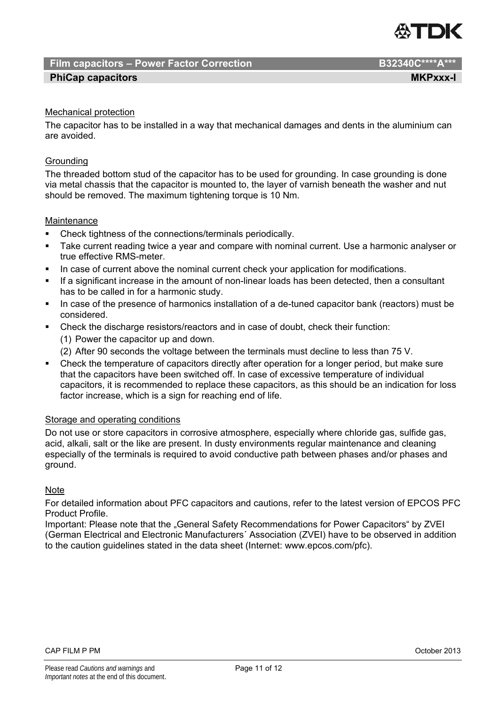

### **PhiCap capacitors MKPxxx-I MKPxxx-I**

### Mechanical protection

The capacitor has to be installed in a way that mechanical damages and dents in the aluminium can are avoided.

### **Grounding**

The threaded bottom stud of the capacitor has to be used for grounding. In case grounding is done via metal chassis that the capacitor is mounted to, the layer of varnish beneath the washer and nut should be removed. The maximum tightening torque is 10 Nm.

### Maintenance

- Check tightness of the connections/terminals periodically.
- Take current reading twice a year and compare with nominal current. Use a harmonic analyser or true effective RMS-meter.
- In case of current above the nominal current check your application for modifications.
- If a significant increase in the amount of non-linear loads has been detected, then a consultant has to be called in for a harmonic study.
- In case of the presence of harmonics installation of a de-tuned capacitor bank (reactors) must be considered.
- Check the discharge resistors/reactors and in case of doubt, check their function:
	- (1) Power the capacitor up and down.
	- (2) After 90 seconds the voltage between the terminals must decline to less than 75 V.
- Check the temperature of capacitors directly after operation for a longer period, but make sure that the capacitors have been switched off. In case of excessive temperature of individual capacitors, it is recommended to replace these capacitors, as this should be an indication for loss factor increase, which is a sign for reaching end of life.

### Storage and operating conditions

Do not use or store capacitors in corrosive atmosphere, especially where chloride gas, sulfide gas, acid, alkali, salt or the like are present. In dusty environments regular maintenance and cleaning especially of the terminals is required to avoid conductive path between phases and/or phases and ground.

### Note

For detailed information about PFC capacitors and cautions, refer to the latest version of EPCOS PFC Product Profile.

Important: Please note that the "General Safety Recommendations for Power Capacitors" by ZVEI (German Electrical and Electronic Manufacturers´ Association (ZVEI) have to be observed in addition to the caution guidelines stated in the data sheet (Internet: www.epcos.com/pfc).